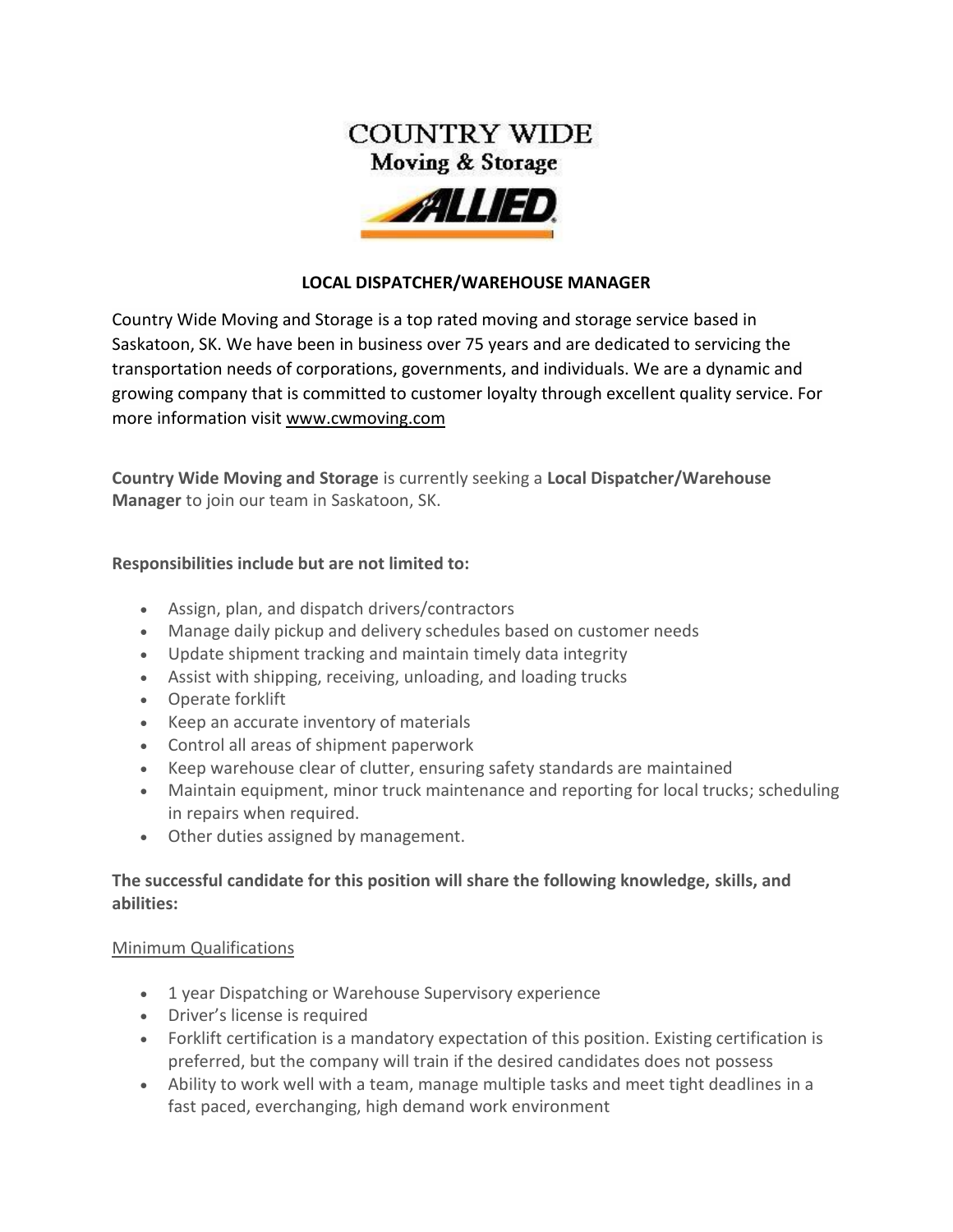

### **LOCAL DISPATCHER/WAREHOUSE MANAGER**

[Country Wide Moving and Storage](https://www.cwmoving.com/) is a top rated [moving and storage service](https://www.cwmoving.com/moving-services/) based in Saskatoon, SK. We have been in business over 75 years and are dedicated to servicing the transportation needs of corporations, governments, and individuals. We are a dynamic and growing company that is committed to customer loyalty through excellent quality service. For more information visit [www.cwmoving.com](http://www.cwmoving.com/)

**Country Wide Moving and Storage** is currently seeking a **Local Dispatcher/Warehouse Manager** to join our team in Saskatoon, SK.

### **Responsibilities include but are not limited to:**

- Assign, plan, and dispatch drivers/contractors
- Manage daily pickup and delivery schedules based on customer needs
- Update shipment tracking and maintain timely data integrity
- Assist with shipping, receiving, unloading, and loading trucks
- Operate forklift
- Keep an accurate inventory of materials
- Control all areas of shipment paperwork
- Keep warehouse clear of clutter, ensuring safety standards are maintained
- Maintain equipment, minor truck maintenance and reporting for local trucks; scheduling in repairs when required.
- Other duties assigned by management.

## **The successful candidate for this position will share the following knowledge, skills, and abilities:**

#### Minimum Qualifications

- 1 year Dispatching or Warehouse Supervisory experience
- Driver's license is required
- Forklift certification is a mandatory expectation of this position. Existing certification is preferred, but the company will train if the desired candidates does not possess
- Ability to work well with a team, manage multiple tasks and meet tight deadlines in a fast paced, everchanging, high demand work environment